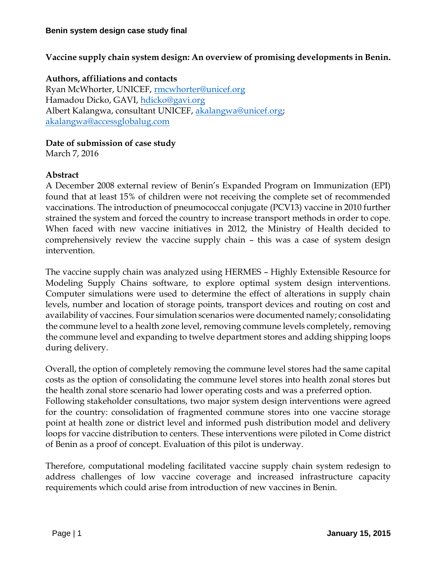**Vaccine supply chain system design: An overview of promising developments in Benin.**

# **Authors, affiliations and contacts**

Ryan McWhorter, UNICEF, [rmcwhorter@unicef.org](mailto:rmcwhorter@unicef.org) Hamadou Dicko, GAVI, [hdicko@gavi.org](mailto:hdicko@gavi.org) Albert Kalangwa, consultant UNICEF, [akalangwa@unicef.org;](mailto:akalangwa@unicef.org) [akalangwa@accessglobalug.com](mailto:akalangwa@accessglobalug.com)

### **Date of submission of case study**

March 7, 2016

# **Abstract**

A December 2008 external review of Benin's Expanded Program on Immunization (EPI) found that at least 15% of children were not receiving the complete set of recommended vaccinations. The introduction of pneumococcal conjugate (PCV13) vaccine in 2010 further strained the system and forced the country to increase transport methods in order to cope. When faced with new vaccine initiatives in 2012, the Ministry of Health decided to comprehensively review the vaccine supply chain – this was a case of system design intervention.

The vaccine supply chain was analyzed using HERMES – Highly Extensible Resource for Modeling Supply Chains software, to explore optimal system design interventions. Computer simulations were used to determine the effect of alterations in supply chain levels, number and location of storage points, transport devices and routing on cost and availability of vaccines. Four simulation scenarios were documented namely; consolidating the commune level to a health zone level, removing commune levels completely, removing the commune level and expanding to twelve department stores and adding shipping loops during delivery.

Overall, the option of completely removing the commune level stores had the same capital costs as the option of consolidating the commune level stores into health zonal stores but the health zonal store scenario had lower operating costs and was a preferred option. Following stakeholder consultations, two major system design interventions were agreed for the country: consolidation of fragmented commune stores into one vaccine storage point at health zone or district level and informed push distribution model and delivery loops for vaccine distribution to centers. These interventions were piloted in Come district of Benin as a proof of concept. Evaluation of this pilot is underway.

Therefore, computational modeling facilitated vaccine supply chain system redesign to address challenges of low vaccine coverage and increased infrastructure capacity requirements which could arise from introduction of new vaccines in Benin.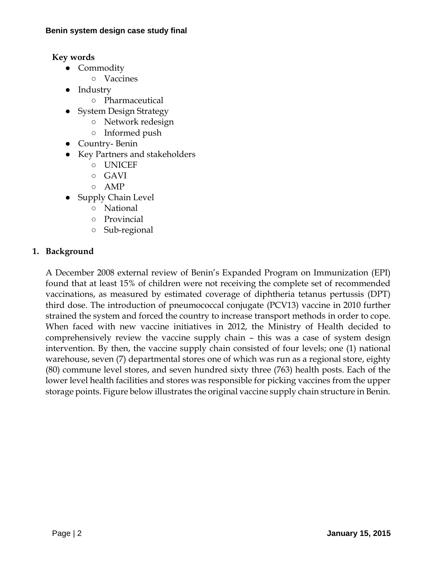# **Key words**

- Commodity
	- Vaccines
- Industry
	- Pharmaceutical
- System Design Strategy
	- Network redesign
	- Informed push
- Country- Benin
- Key Partners and stakeholders
	- UNICEF
	- $\circ$  GAVI
	- AMP
- Supply Chain Level
	- National
	- Provincial
	- Sub-regional

# **1. Background**

A December 2008 external review of Benin's Expanded Program on Immunization (EPI) found that at least 15% of children were not receiving the complete set of recommended vaccinations, as measured by estimated coverage of diphtheria tetanus pertussis (DPT) third dose. The introduction of pneumococcal conjugate (PCV13) vaccine in 2010 further strained the system and forced the country to increase transport methods in order to cope. When faced with new vaccine initiatives in 2012, the Ministry of Health decided to comprehensively review the vaccine supply chain – this was a case of system design intervention. By then, the vaccine supply chain consisted of four levels; one (1) national warehouse, seven (7) departmental stores one of which was run as a regional store, eighty (80) commune level stores, and seven hundred sixty three (763) health posts. Each of the lower level health facilities and stores was responsible for picking vaccines from the upper storage points. Figure below illustrates the original vaccine supply chain structure in Benin.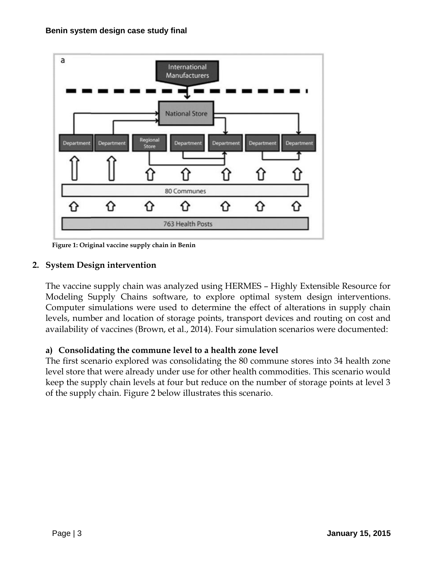

**Figure 1: Original vaccine supply chain in Benin**

# **2. System Design intervention**

The vaccine supply chain was analyzed using HERMES – Highly Extensible Resource for Modeling Supply Chains software, to explore optimal system design interventions. Computer simulations were used to determine the effect of alterations in supply chain levels, number and location of storage points, transport devices and routing on cost and availability of vaccines (Brown, et al., 2014). Four simulation scenarios were documented:

# **a) Consolidating the commune level to a health zone level**

The first scenario explored was consolidating the 80 commune stores into 34 health zone level store that were already under use for other health commodities. This scenario would keep the supply chain levels at four but reduce on the number of storage points at level 3 of the supply chain. Figure 2 below illustrates this scenario.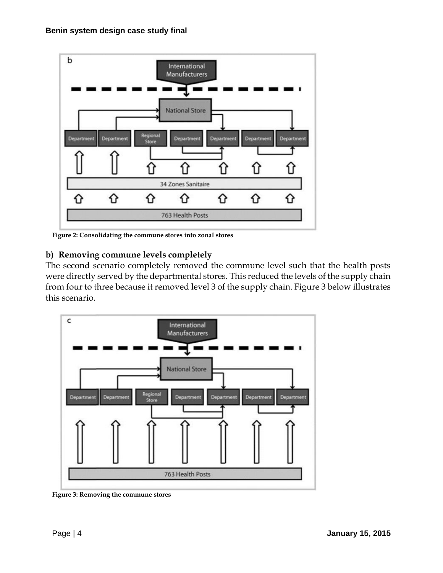

**Figure 2: Consolidating the commune stores into zonal stores**

# **b) Removing commune levels completely**

The second scenario completely removed the commune level such that the health posts were directly served by the departmental stores. This reduced the levels of the supply chain from four to three because it removed level 3 of the supply chain. Figure 3 below illustrates this scenario.



**Figure 3: Removing the commune stores**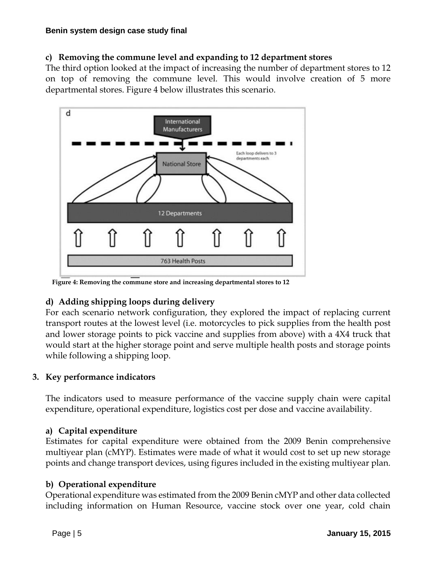# **c) Removing the commune level and expanding to 12 department stores**

The third option looked at the impact of increasing the number of department stores to 12 on top of removing the commune level. This would involve creation of 5 more departmental stores. Figure 4 below illustrates this scenario.



**Figure 4: Removing the commune store and increasing departmental stores to 12**

# **d) Adding shipping loops during delivery**

For each scenario network configuration, they explored the impact of replacing current transport routes at the lowest level (i.e. motorcycles to pick supplies from the health post and lower storage points to pick vaccine and supplies from above) with a 4X4 truck that would start at the higher storage point and serve multiple health posts and storage points while following a shipping loop.

# **3. Key performance indicators**

The indicators used to measure performance of the vaccine supply chain were capital expenditure, operational expenditure, logistics cost per dose and vaccine availability.

# **a) Capital expenditure**

Estimates for capital expenditure were obtained from the 2009 Benin comprehensive multiyear plan (cMYP). Estimates were made of what it would cost to set up new storage points and change transport devices, using figures included in the existing multiyear plan.

# **b) Operational expenditure**

Operational expenditure was estimated from the 2009 Benin cMYP and other data collected including information on Human Resource, vaccine stock over one year, cold chain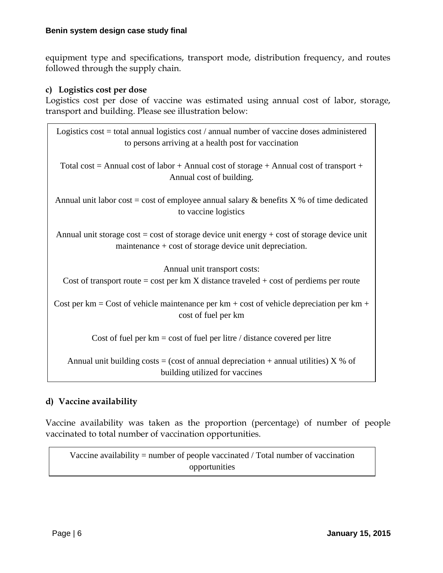equipment type and specifications, transport mode, distribution frequency, and routes followed through the supply chain.

### **c) Logistics cost per dose**

Logistics cost per dose of vaccine was estimated using annual cost of labor, storage, transport and building. Please see illustration below:

| Logistics cost = total annual logistics cost / annual number of vaccine doses administered<br>to persons arriving at a health post for vaccination         |
|------------------------------------------------------------------------------------------------------------------------------------------------------------|
| Total cost = Annual cost of labor + Annual cost of storage + Annual cost of transport +<br>Annual cost of building.                                        |
| Annual unit labor cost = cost of employee annual salary & benefits $X$ % of time dedicated<br>to vaccine logistics                                         |
| Annual unit storage cost = cost of storage device unit energy + cost of storage device unit<br>maintenance $+ \cos t$ of storage device unit depreciation. |
| Annual unit transport costs:<br>Cost of transport route = cost per $km X$ distance traveled + cost of perdiems per route                                   |
| Cost per km = Cost of vehicle maintenance per km + cost of vehicle depreciation per km +<br>cost of fuel per km                                            |
| Cost of fuel per $km = \cos t$ of fuel per litre / distance covered per litre                                                                              |
| Annual unit building costs = (cost of annual depreciation + annual utilities) $X$ % of<br>building utilized for vaccines                                   |

# **d) Vaccine availability**

Vaccine availability was taken as the proportion (percentage) of number of people vaccinated to total number of vaccination opportunities.

Vaccine availability = number of people vaccinated / Total number of vaccination opportunities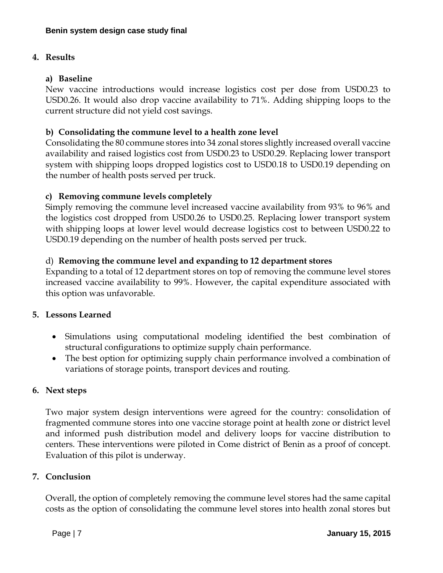# **4. Results**

### **a) Baseline**

New vaccine introductions would increase logistics cost per dose from USD0.23 to USD0.26. It would also drop vaccine availability to 71%. Adding shipping loops to the current structure did not yield cost savings.

### **b) Consolidating the commune level to a health zone level**

Consolidating the 80 commune stores into 34 zonal stores slightly increased overall vaccine availability and raised logistics cost from USD0.23 to USD0.29. Replacing lower transport system with shipping loops dropped logistics cost to USD0.18 to USD0.19 depending on the number of health posts served per truck.

# **c) Removing commune levels completely**

Simply removing the commune level increased vaccine availability from 93% to 96% and the logistics cost dropped from USD0.26 to USD0.25. Replacing lower transport system with shipping loops at lower level would decrease logistics cost to between USD0.22 to USD0.19 depending on the number of health posts served per truck.

### d) **Removing the commune level and expanding to 12 department stores**

Expanding to a total of 12 department stores on top of removing the commune level stores increased vaccine availability to 99%. However, the capital expenditure associated with this option was unfavorable.

#### **5. Lessons Learned**

- Simulations using computational modeling identified the best combination of structural configurations to optimize supply chain performance.
- The best option for optimizing supply chain performance involved a combination of variations of storage points, transport devices and routing.

#### **6. Next steps**

Two major system design interventions were agreed for the country: consolidation of fragmented commune stores into one vaccine storage point at health zone or district level and informed push distribution model and delivery loops for vaccine distribution to centers. These interventions were piloted in Come district of Benin as a proof of concept. Evaluation of this pilot is underway.

#### **7. Conclusion**

Overall, the option of completely removing the commune level stores had the same capital costs as the option of consolidating the commune level stores into health zonal stores but